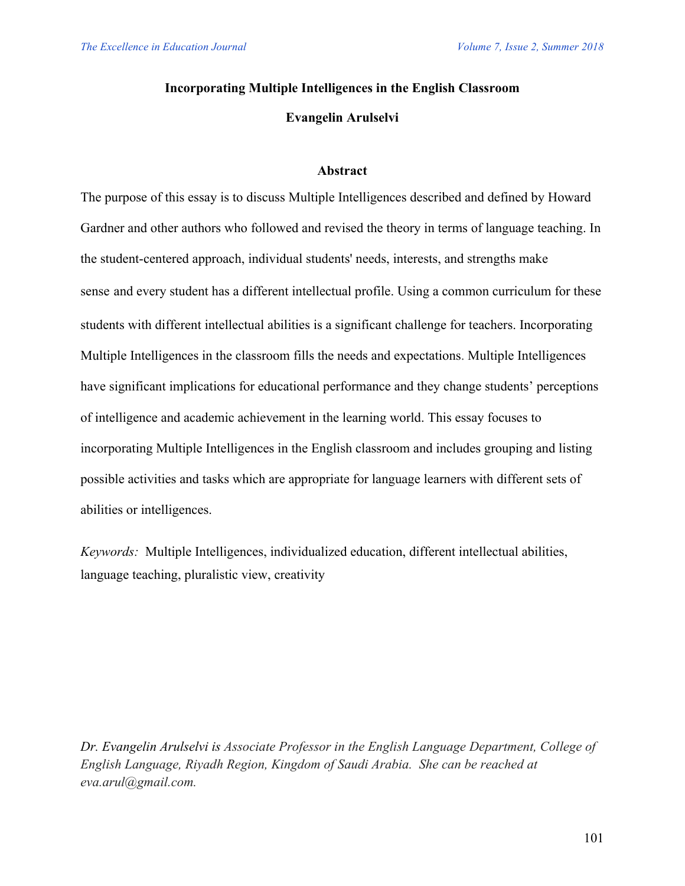## **Incorporating Multiple Intelligences in the English Classroom**

### **Evangelin Arulselvi**

#### **Abstract**

The purpose of this essay is to discuss Multiple Intelligences described and defined by Howard Gardner and other authors who followed and revised the theory in terms of language teaching. In the student-centered approach, individual students' needs, interests, and strengths make sense and every student has a different intellectual profile. Using a common curriculum for these students with different intellectual abilities is a significant challenge for teachers. Incorporating Multiple Intelligences in the classroom fills the needs and expectations. Multiple Intelligences have significant implications for educational performance and they change students' perceptions of intelligence and academic achievement in the learning world. This essay focuses to incorporating Multiple Intelligences in the English classroom and includes grouping and listing possible activities and tasks which are appropriate for language learners with different sets of abilities or intelligences.

*Keywords:* Multiple Intelligences, individualized education, different intellectual abilities, language teaching, pluralistic view, creativity

*Dr. Evangelin Arulselvi is Associate Professor in the English Language Department, College of English Language, Riyadh Region, Kingdom of Saudi Arabia. She can be reached at eva.arul@gmail.com.*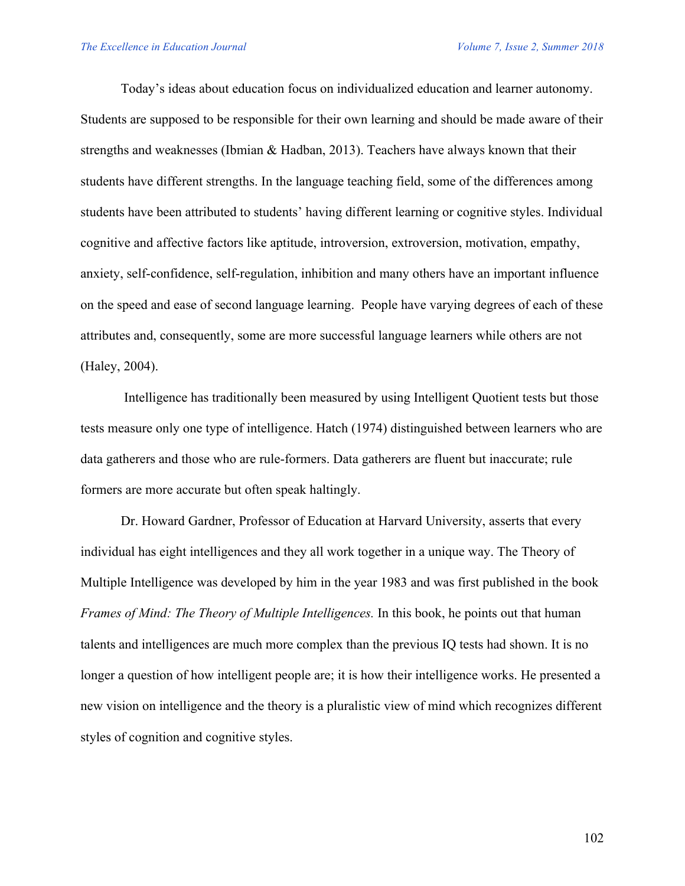Today's ideas about education focus on individualized education and learner autonomy. Students are supposed to be responsible for their own learning and should be made aware of their strengths and weaknesses (Ibmian & Hadban, 2013). Teachers have always known that their students have different strengths. In the language teaching field, some of the differences among students have been attributed to students' having different learning or cognitive styles. Individual cognitive and affective factors like aptitude, introversion, extroversion, motivation, empathy, anxiety, self-confidence, self-regulation, inhibition and many others have an important influence on the speed and ease of second language learning. People have varying degrees of each of these attributes and, consequently, some are more successful language learners while others are not (Haley, 2004).

Intelligence has traditionally been measured by using Intelligent Quotient tests but those tests measure only one type of intelligence. Hatch (1974) distinguished between learners who are data gatherers and those who are rule-formers. Data gatherers are fluent but inaccurate; rule formers are more accurate but often speak haltingly.

Dr. Howard Gardner, Professor of Education at Harvard University, asserts that every individual has eight intelligences and they all work together in a unique way. The Theory of Multiple Intelligence was developed by him in the year 1983 and was first published in the book *Frames of Mind: The Theory of Multiple Intelligences.* In this book, he points out that human talents and intelligences are much more complex than the previous IQ tests had shown. It is no longer a question of how intelligent people are; it is how their intelligence works. He presented a new vision on intelligence and the theory is a pluralistic view of mind which recognizes different styles of cognition and cognitive styles.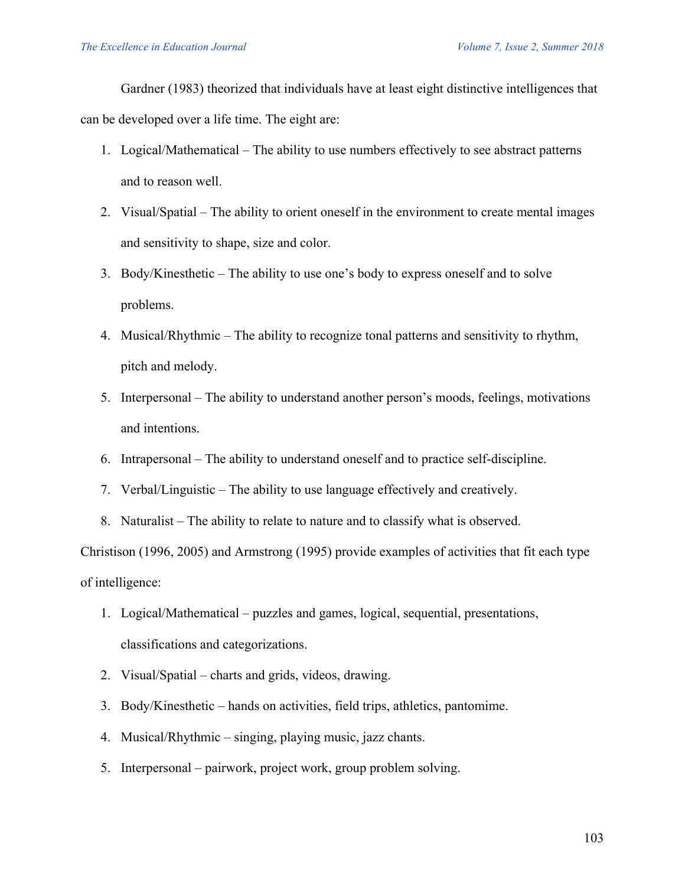Gardner (1983) theorized that individuals have at least eight distinctive intelligences that can be developed over a life time. The eight are:

- 1. Logical/Mathematical The ability to use numbers effectively to see abstract patterns and to reason well.
- 2. Visual/Spatial The ability to orient oneself in the environment to create mental images and sensitivity to shape, size and color.
- 3. Body/Kinesthetic The ability to use one's body to express oneself and to solve problems.
- 4. Musical/Rhythmic The ability to recognize tonal patterns and sensitivity to rhythm, pitch and melody.
- 5. Interpersonal The ability to understand another person's moods, feelings, motivations and intentions.
- 6. Intrapersonal The ability to understand oneself and to practice self-discipline.
- 7. Verbal/Linguistic The ability to use language effectively and creatively.
- 8. Naturalist The ability to relate to nature and to classify what is observed.

Christison (1996, 2005) and Armstrong (1995) provide examples of activities that fit each type of intelligence:

- 1. Logical/Mathematical puzzles and games, logical, sequential, presentations, classifications and categorizations.
- 2. Visual/Spatial charts and grids, videos, drawing.
- 3. Body/Kinesthetic hands on activities, field trips, athletics, pantomime.
- 4. Musical/Rhythmic singing, playing music, jazz chants.
- 5. Interpersonal pairwork, project work, group problem solving.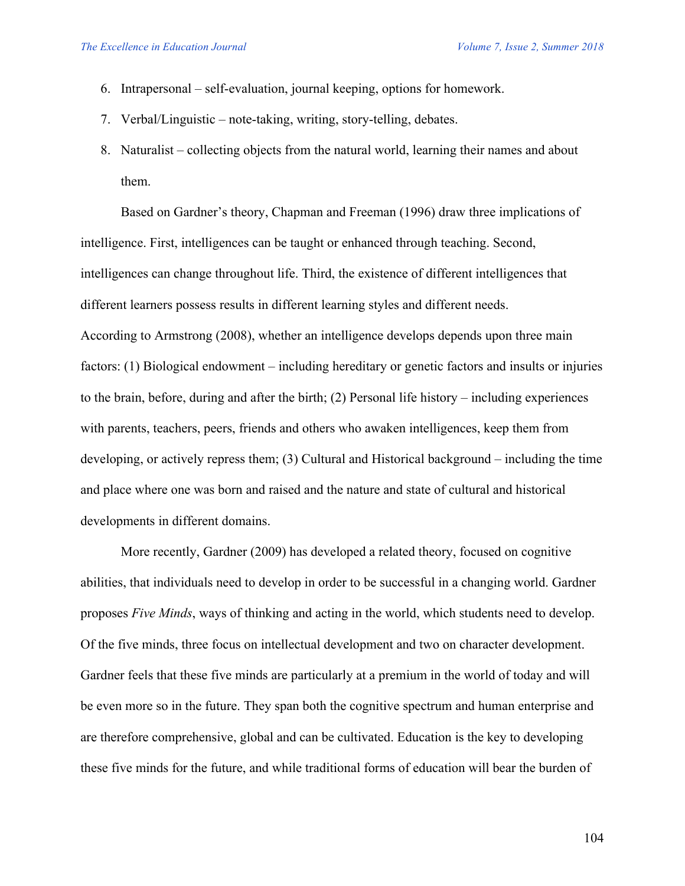- 6. Intrapersonal self-evaluation, journal keeping, options for homework.
- 7. Verbal/Linguistic note-taking, writing, story-telling, debates.
- 8. Naturalist collecting objects from the natural world, learning their names and about them.

Based on Gardner's theory, Chapman and Freeman (1996) draw three implications of intelligence. First, intelligences can be taught or enhanced through teaching. Second, intelligences can change throughout life. Third, the existence of different intelligences that different learners possess results in different learning styles and different needs. According to Armstrong (2008), whether an intelligence develops depends upon three main factors: (1) Biological endowment – including hereditary or genetic factors and insults or injuries to the brain, before, during and after the birth; (2) Personal life history – including experiences with parents, teachers, peers, friends and others who awaken intelligences, keep them from developing, or actively repress them; (3) Cultural and Historical background – including the time and place where one was born and raised and the nature and state of cultural and historical developments in different domains.

More recently, Gardner (2009) has developed a related theory, focused on cognitive abilities, that individuals need to develop in order to be successful in a changing world. Gardner proposes *Five Minds*, ways of thinking and acting in the world, which students need to develop. Of the five minds, three focus on intellectual development and two on character development. Gardner feels that these five minds are particularly at a premium in the world of today and will be even more so in the future. They span both the cognitive spectrum and human enterprise and are therefore comprehensive, global and can be cultivated. Education is the key to developing these five minds for the future, and while traditional forms of education will bear the burden of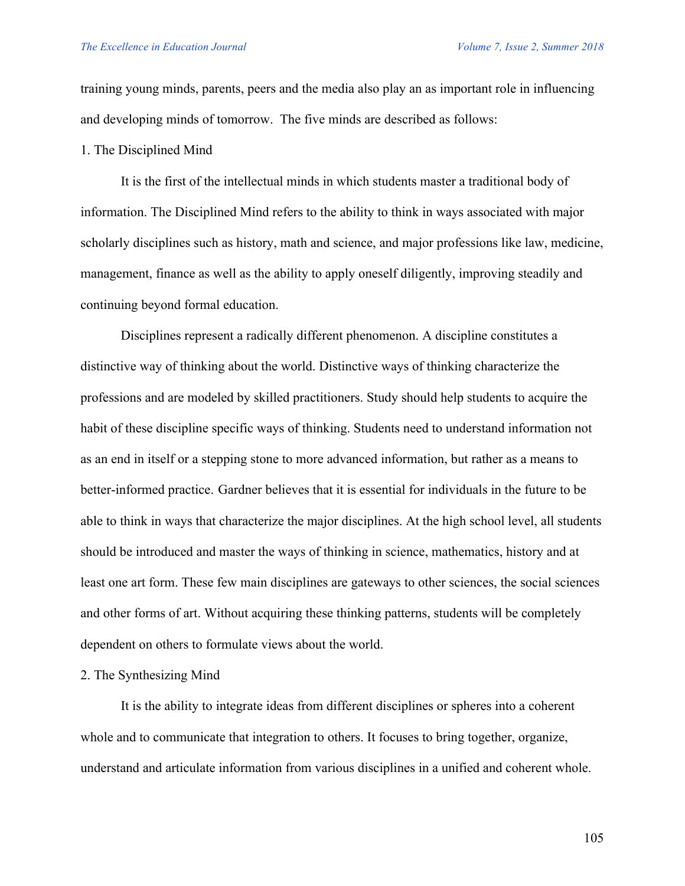training young minds, parents, peers and the media also play an as important role in influencing and developing minds of tomorrow. The five minds are described as follows:

## 1. The Disciplined Mind

It is the first of the intellectual minds in which students master a traditional body of information. The Disciplined Mind refers to the ability to think in ways associated with major scholarly disciplines such as history, math and science, and major professions like law, medicine, management, finance as well as the ability to apply oneself diligently, improving steadily and continuing beyond formal education.

Disciplines represent a radically different phenomenon. A discipline constitutes a distinctive way of thinking about the world. Distinctive ways of thinking characterize the professions and are modeled by skilled practitioners. Study should help students to acquire the habit of these discipline specific ways of thinking. Students need to understand information not as an end in itself or a stepping stone to more advanced information, but rather as a means to better-informed practice. Gardner believes that it is essential for individuals in the future to be able to think in ways that characterize the major disciplines. At the high school level, all students should be introduced and master the ways of thinking in science, mathematics, history and at least one art form. These few main disciplines are gateways to other sciences, the social sciences and other forms of art. Without acquiring these thinking patterns, students will be completely dependent on others to formulate views about the world.

### 2. The Synthesizing Mind

It is the ability to integrate ideas from different disciplines or spheres into a coherent whole and to communicate that integration to others. It focuses to bring together, organize, understand and articulate information from various disciplines in a unified and coherent whole.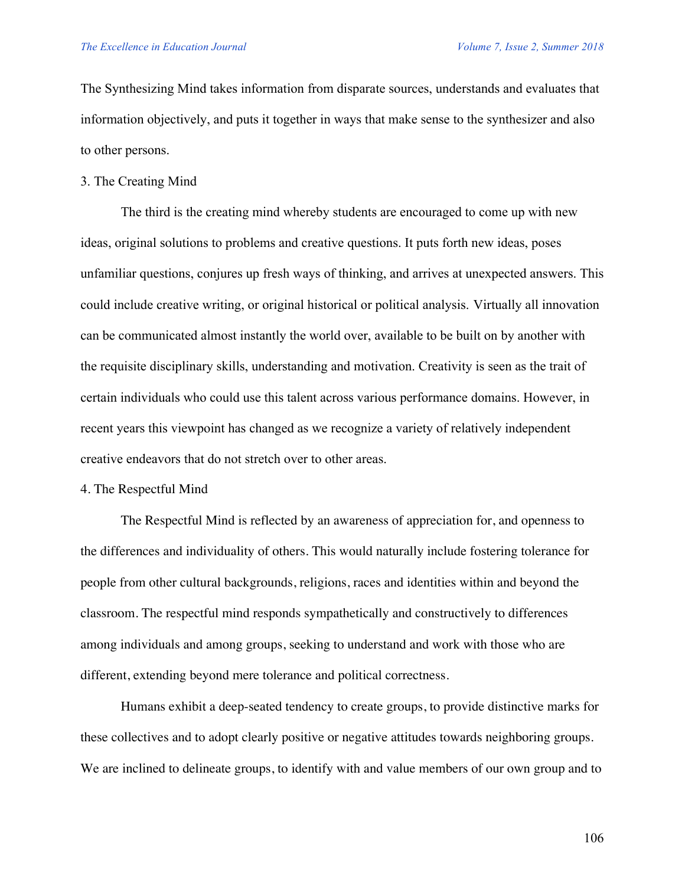The Synthesizing Mind takes information from disparate sources, understands and evaluates that information objectively, and puts it together in ways that make sense to the synthesizer and also to other persons.

### 3. The Creating Mind

The third is the creating mind whereby students are encouraged to come up with new ideas, original solutions to problems and creative questions. It puts forth new ideas, poses unfamiliar questions, conjures up fresh ways of thinking, and arrives at unexpected answers. This could include creative writing, or original historical or political analysis. Virtually all innovation can be communicated almost instantly the world over, available to be built on by another with the requisite disciplinary skills, understanding and motivation. Creativity is seen as the trait of certain individuals who could use this talent across various performance domains. However, in recent years this viewpoint has changed as we recognize a variety of relatively independent creative endeavors that do not stretch over to other areas.

## 4. The Respectful Mind

The Respectful Mind is reflected by an awareness of appreciation for, and openness to the differences and individuality of others. This would naturally include fostering tolerance for people from other cultural backgrounds, religions, races and identities within and beyond the classroom. The respectful mind responds sympathetically and constructively to differences among individuals and among groups, seeking to understand and work with those who are different, extending beyond mere tolerance and political correctness.

Humans exhibit a deep-seated tendency to create groups, to provide distinctive marks for these collectives and to adopt clearly positive or negative attitudes towards neighboring groups. We are inclined to delineate groups, to identify with and value members of our own group and to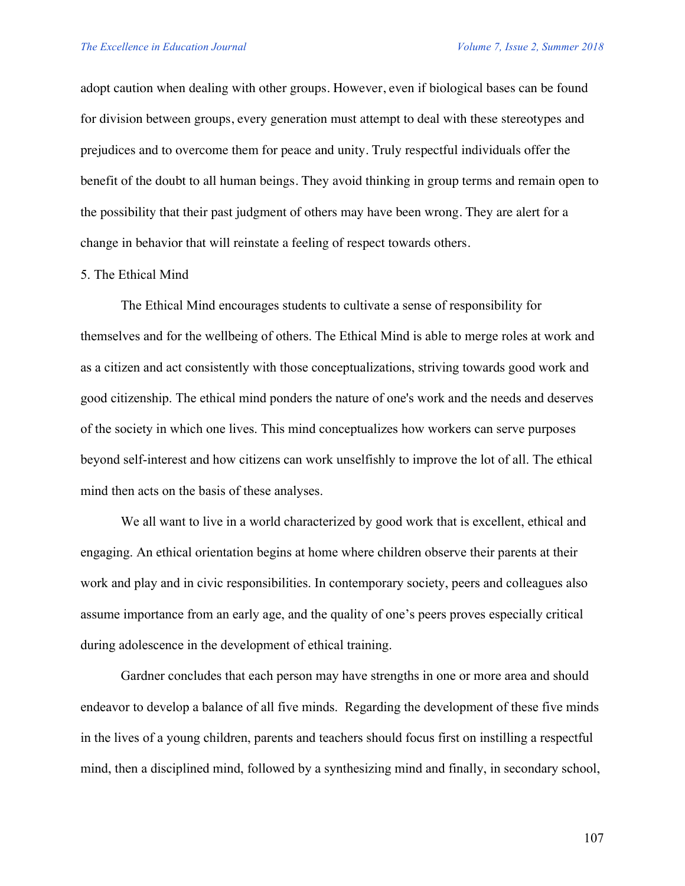adopt caution when dealing with other groups. However, even if biological bases can be found for division between groups, every generation must attempt to deal with these stereotypes and prejudices and to overcome them for peace and unity. Truly respectful individuals offer the benefit of the doubt to all human beings. They avoid thinking in group terms and remain open to the possibility that their past judgment of others may have been wrong. They are alert for a change in behavior that will reinstate a feeling of respect towards others.

### 5. The Ethical Mind

The Ethical Mind encourages students to cultivate a sense of responsibility for themselves and for the wellbeing of others. The Ethical Mind is able to merge roles at work and as a citizen and act consistently with those conceptualizations, striving towards good work and good citizenship. The ethical mind ponders the nature of one's work and the needs and deserves of the society in which one lives. This mind conceptualizes how workers can serve purposes beyond self-interest and how citizens can work unselfishly to improve the lot of all. The ethical mind then acts on the basis of these analyses.

We all want to live in a world characterized by good work that is excellent, ethical and engaging. An ethical orientation begins at home where children observe their parents at their work and play and in civic responsibilities. In contemporary society, peers and colleagues also assume importance from an early age, and the quality of one's peers proves especially critical during adolescence in the development of ethical training.

Gardner concludes that each person may have strengths in one or more area and should endeavor to develop a balance of all five minds. Regarding the development of these five minds in the lives of a young children, parents and teachers should focus first on instilling a respectful mind, then a disciplined mind, followed by a synthesizing mind and finally, in secondary school,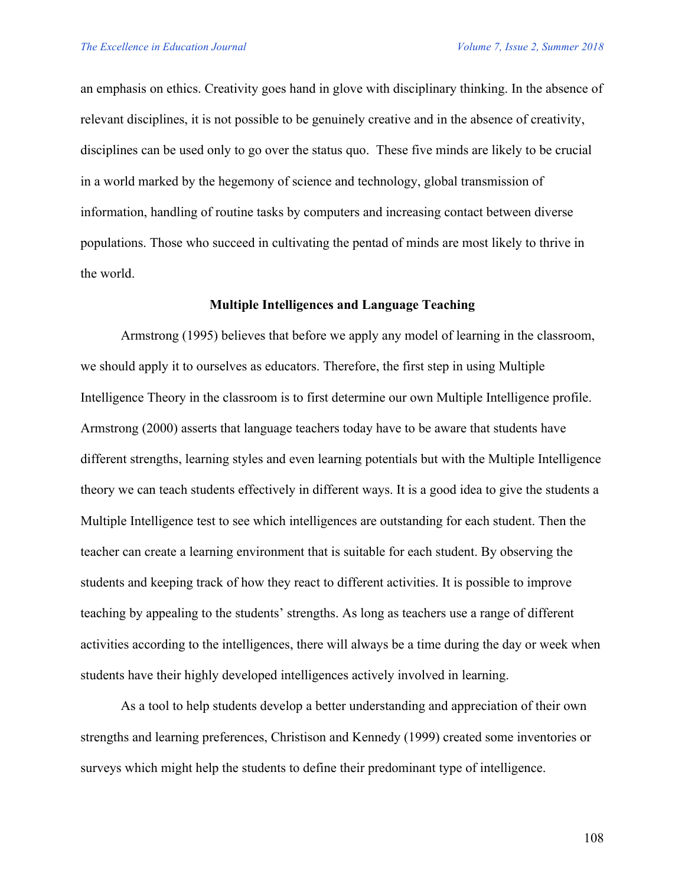an emphasis on ethics. Creativity goes hand in glove with disciplinary thinking. In the absence of relevant disciplines, it is not possible to be genuinely creative and in the absence of creativity, disciplines can be used only to go over the status quo. These five minds are likely to be crucial in a world marked by the hegemony of science and technology, global transmission of information, handling of routine tasks by computers and increasing contact between diverse populations. Those who succeed in cultivating the pentad of minds are most likely to thrive in the world.

## **Multiple Intelligences and Language Teaching**

Armstrong (1995) believes that before we apply any model of learning in the classroom, we should apply it to ourselves as educators. Therefore, the first step in using Multiple Intelligence Theory in the classroom is to first determine our own Multiple Intelligence profile. Armstrong (2000) asserts that language teachers today have to be aware that students have different strengths, learning styles and even learning potentials but with the Multiple Intelligence theory we can teach students effectively in different ways. It is a good idea to give the students a Multiple Intelligence test to see which intelligences are outstanding for each student. Then the teacher can create a learning environment that is suitable for each student. By observing the students and keeping track of how they react to different activities. It is possible to improve teaching by appealing to the students' strengths. As long as teachers use a range of different activities according to the intelligences, there will always be a time during the day or week when students have their highly developed intelligences actively involved in learning.

As a tool to help students develop a better understanding and appreciation of their own strengths and learning preferences, Christison and Kennedy (1999) created some inventories or surveys which might help the students to define their predominant type of intelligence.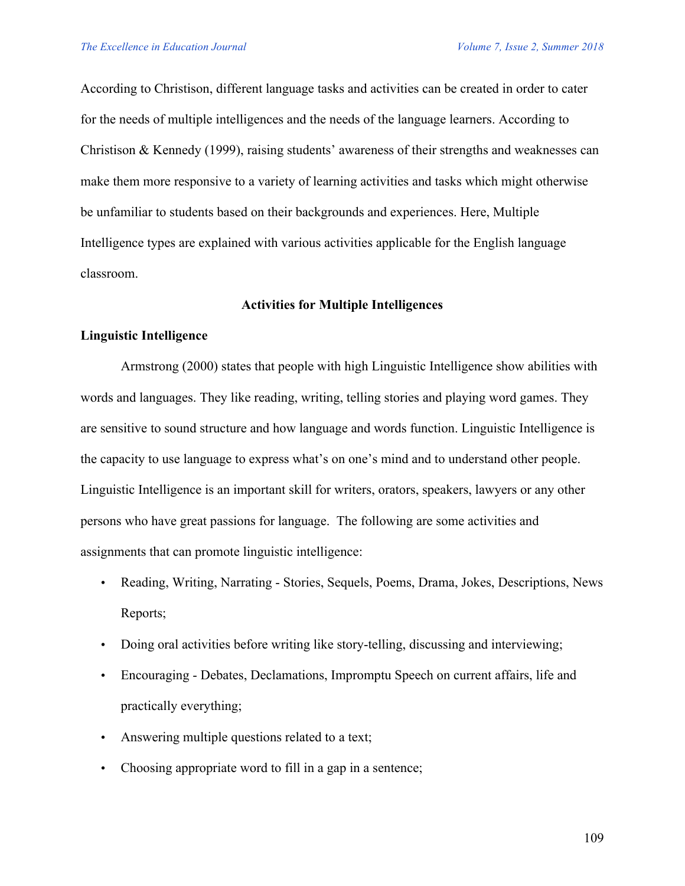According to Christison, different language tasks and activities can be created in order to cater for the needs of multiple intelligences and the needs of the language learners. According to Christison & Kennedy (1999), raising students' awareness of their strengths and weaknesses can make them more responsive to a variety of learning activities and tasks which might otherwise be unfamiliar to students based on their backgrounds and experiences. Here, Multiple Intelligence types are explained with various activities applicable for the English language classroom.

## **Activities for Multiple Intelligences**

## **Linguistic Intelligence**

Armstrong (2000) states that people with high Linguistic Intelligence show abilities with words and languages. They like reading, writing, telling stories and playing word games. They are sensitive to sound structure and how language and words function. Linguistic Intelligence is the capacity to use language to express what's on one's mind and to understand other people. Linguistic Intelligence is an important skill for writers, orators, speakers, lawyers or any other persons who have great passions for language. The following are some activities and assignments that can promote linguistic intelligence:

- Reading, Writing, Narrating Stories, Sequels, Poems, Drama, Jokes, Descriptions, News Reports;
- Doing oral activities before writing like story-telling, discussing and interviewing;
- Encouraging Debates, Declamations, Impromptu Speech on current affairs, life and practically everything;
- Answering multiple questions related to a text;
- Choosing appropriate word to fill in a gap in a sentence;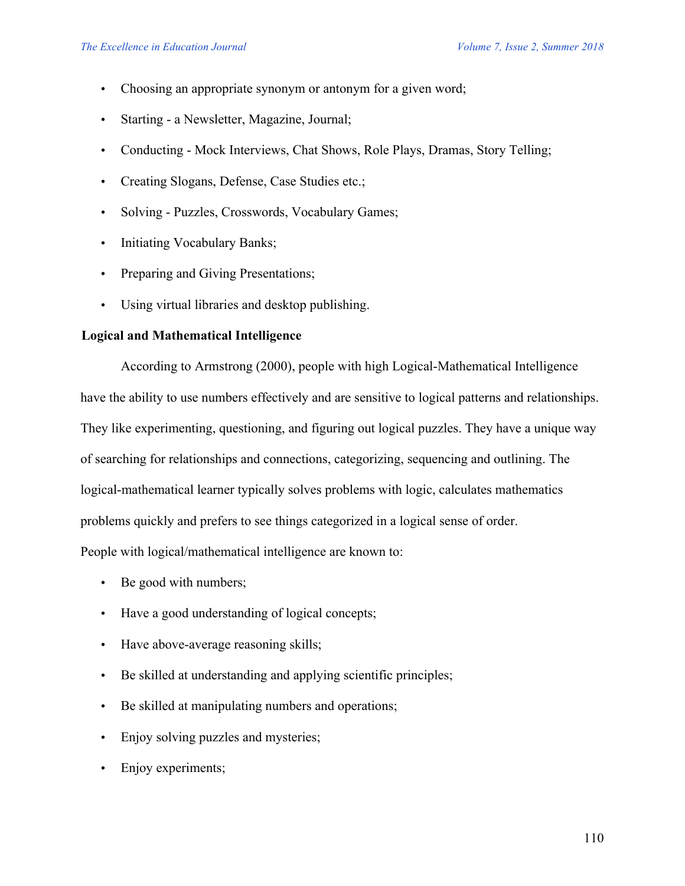- Choosing an appropriate synonym or antonym for a given word;
- Starting a Newsletter, Magazine, Journal;
- Conducting Mock Interviews, Chat Shows, Role Plays, Dramas, Story Telling;
- Creating Slogans, Defense, Case Studies etc.;
- Solving Puzzles, Crosswords, Vocabulary Games;
- Initiating Vocabulary Banks;
- Preparing and Giving Presentations;
- Using virtual libraries and desktop publishing.

# **Logical and Mathematical Intelligence**

According to Armstrong (2000), people with high Logical-Mathematical Intelligence have the ability to use numbers effectively and are sensitive to logical patterns and relationships. They like experimenting, questioning, and figuring out logical puzzles. They have a unique way of searching for relationships and connections, categorizing, sequencing and outlining. The logical-mathematical learner typically solves problems with logic, calculates mathematics problems quickly and prefers to see things categorized in a logical sense of order. People with logical/mathematical intelligence are known to:

- Be good with numbers;
- Have a good understanding of logical concepts;
- Have above-average reasoning skills;
- Be skilled at understanding and applying scientific principles;
- Be skilled at manipulating numbers and operations;
- Enjoy solving puzzles and mysteries;
- Enjoy experiments;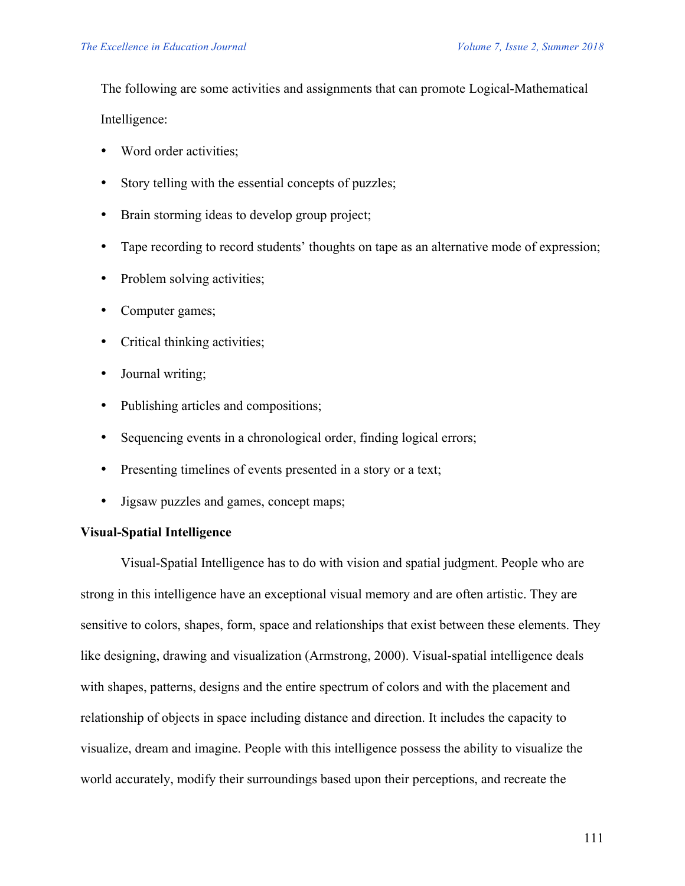The following are some activities and assignments that can promote Logical-Mathematical

Intelligence:

- Word order activities;
- Story telling with the essential concepts of puzzles;
- Brain storming ideas to develop group project;
- Tape recording to record students' thoughts on tape as an alternative mode of expression;
- Problem solving activities;
- Computer games;
- Critical thinking activities;
- Journal writing;
- Publishing articles and compositions;
- Sequencing events in a chronological order, finding logical errors;
- Presenting timelines of events presented in a story or a text;
- Jigsaw puzzles and games, concept maps;

# **Visual-Spatial Intelligence**

Visual-Spatial Intelligence has to do with vision and spatial judgment. People who are strong in this intelligence have an exceptional visual memory and are often artistic. They are sensitive to colors, shapes, form, space and relationships that exist between these elements. They like designing, drawing and visualization (Armstrong, 2000). Visual-spatial intelligence deals with shapes, patterns, designs and the entire spectrum of colors and with the placement and relationship of objects in space including distance and direction. It includes the capacity to visualize, dream and imagine. People with this intelligence possess the ability to visualize the world accurately, modify their surroundings based upon their perceptions, and recreate the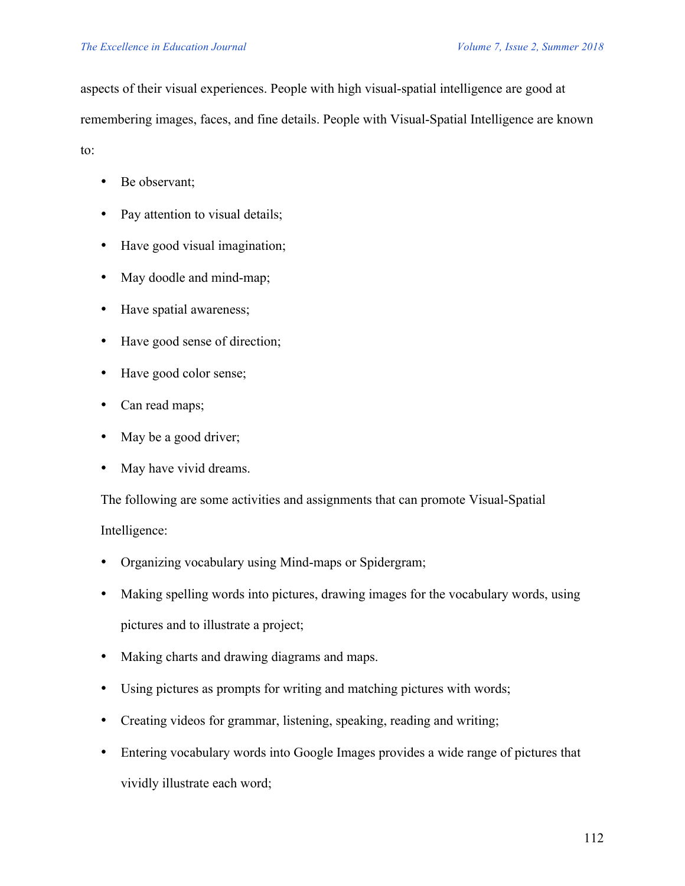aspects of their visual experiences. People with high visual-spatial intelligence are good at

remembering images, faces, and fine details. People with Visual-Spatial Intelligence are known

to:

- Be observant;
- Pay attention to visual details;
- Have good visual imagination;
- May doodle and mind-map;
- Have spatial awareness;
- Have good sense of direction;
- Have good color sense;
- Can read maps;
- May be a good driver;
- May have vivid dreams.

The following are some activities and assignments that can promote Visual-Spatial Intelligence:

- Organizing vocabulary using Mind-maps or Spidergram;
- Making spelling words into pictures, drawing images for the vocabulary words, using pictures and to illustrate a project;
- Making charts and drawing diagrams and maps.
- Using pictures as prompts for writing and matching pictures with words;
- Creating videos for grammar, listening, speaking, reading and writing;
- Entering vocabulary words into Google Images provides a wide range of pictures that vividly illustrate each word;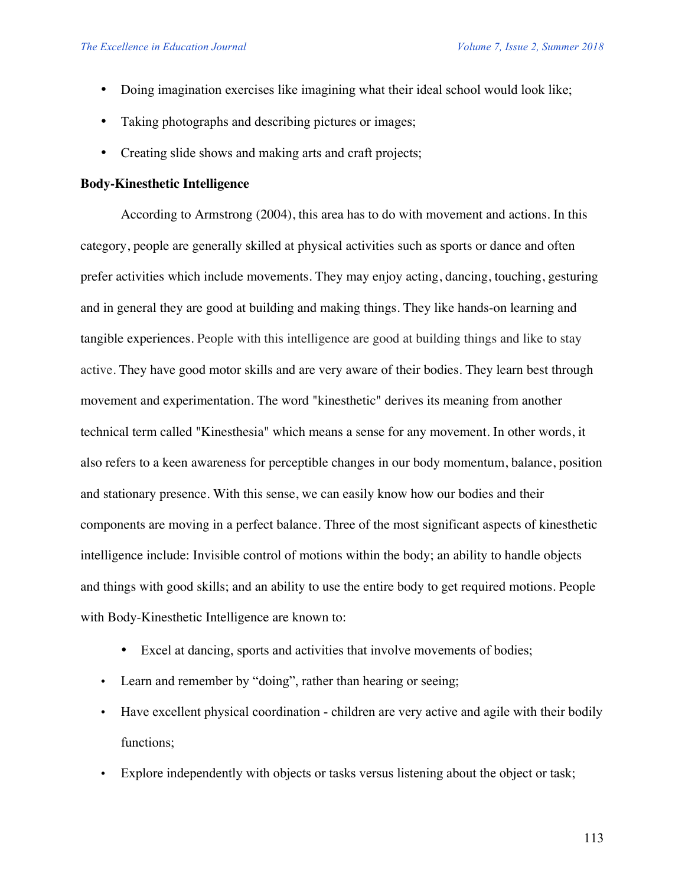- Doing imagination exercises like imagining what their ideal school would look like;
- Taking photographs and describing pictures or images;
- Creating slide shows and making arts and craft projects;

### **Body-Kinesthetic Intelligence**

According to Armstrong (2004), this area has to do with movement and actions. In this category, people are generally skilled at physical activities such as sports or dance and often prefer activities which include movements. They may enjoy acting, dancing, touching, gesturing and in general they are good at building and making things. They like hands-on learning and tangible experiences. People with this intelligence are good at building things and like to stay active. They have good motor skills and are very aware of their bodies. They learn best through movement and experimentation. The word "kinesthetic" derives its meaning from another technical term called "Kinesthesia" which means a sense for any movement. In other words, it also refers to a keen awareness for perceptible changes in our body momentum, balance, position and stationary presence. With this sense, we can easily know how our bodies and their components are moving in a perfect balance. Three of the most significant aspects of kinesthetic intelligence include: Invisible control of motions within the body; an ability to handle objects and things with good skills; and an ability to use the entire body to get required motions. People with Body-Kinesthetic Intelligence are known to:

- Excel at dancing, sports and activities that involve movements of bodies;
- Learn and remember by "doing", rather than hearing or seeing;
- Have excellent physical coordination children are very active and agile with their bodily functions;
- Explore independently with objects or tasks versus listening about the object or task;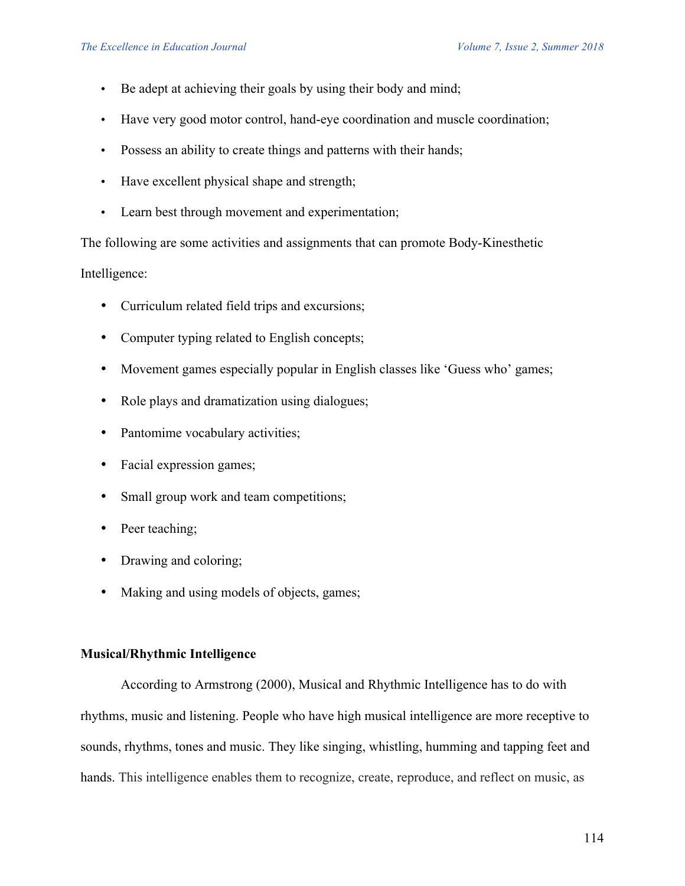- Be adept at achieving their goals by using their body and mind;
- Have very good motor control, hand-eye coordination and muscle coordination;
- Possess an ability to create things and patterns with their hands;
- Have excellent physical shape and strength;
- Learn best through movement and experimentation;

The following are some activities and assignments that can promote Body-Kinesthetic

Intelligence:

- Curriculum related field trips and excursions;
- Computer typing related to English concepts;
- Movement games especially popular in English classes like 'Guess who' games;
- Role plays and dramatization using dialogues;
- Pantomime vocabulary activities;
- Facial expression games;
- Small group work and team competitions;
- Peer teaching;
- Drawing and coloring;
- Making and using models of objects, games;

# **Musical/Rhythmic Intelligence**

According to Armstrong (2000), Musical and Rhythmic Intelligence has to do with rhythms, music and listening. People who have high musical intelligence are more receptive to sounds, rhythms, tones and music. They like singing, whistling, humming and tapping feet and hands. This intelligence enables them to recognize, create, reproduce, and reflect on music, as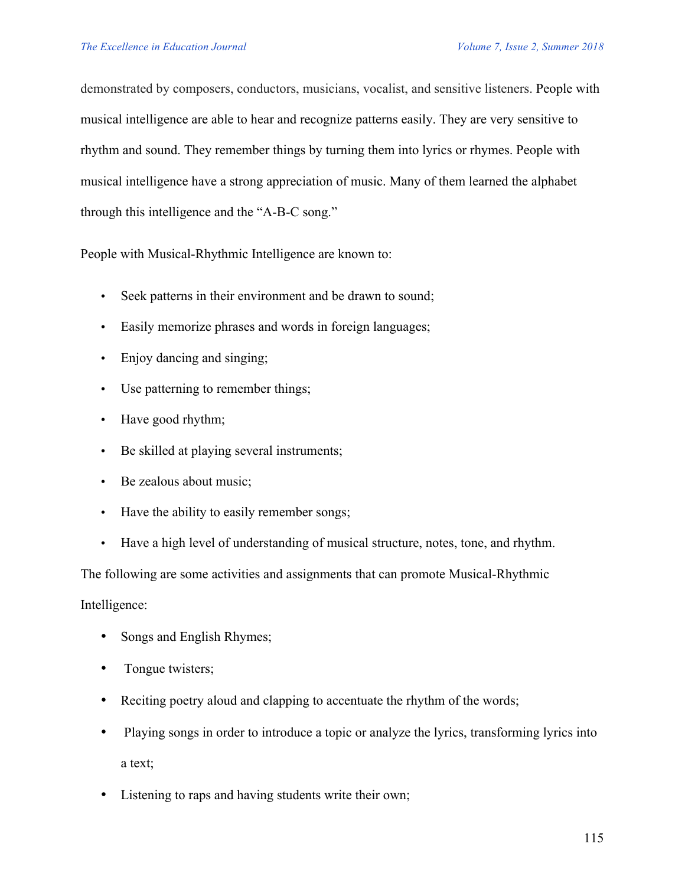demonstrated by composers, conductors, musicians, vocalist, and sensitive listeners. People with musical intelligence are able to hear and recognize patterns easily. They are very sensitive to rhythm and sound. They remember things by turning them into lyrics or rhymes. People with musical intelligence have a strong appreciation of music. Many of them learned the alphabet through this intelligence and the "A-B-C song."

People with Musical-Rhythmic Intelligence are known to:

- Seek patterns in their environment and be drawn to sound;
- Easily memorize phrases and words in foreign languages;
- Enjoy dancing and singing;
- Use patterning to remember things;
- Have good rhythm;
- Be skilled at playing several instruments;
- Be zealous about music;
- Have the ability to easily remember songs;
- Have a high level of understanding of musical structure, notes, tone, and rhythm.

The following are some activities and assignments that can promote Musical-Rhythmic

Intelligence:

- Songs and English Rhymes;
- Tongue twisters;
- Reciting poetry aloud and clapping to accentuate the rhythm of the words;
- Playing songs in order to introduce a topic or analyze the lyrics, transforming lyrics into a text;
- Listening to raps and having students write their own;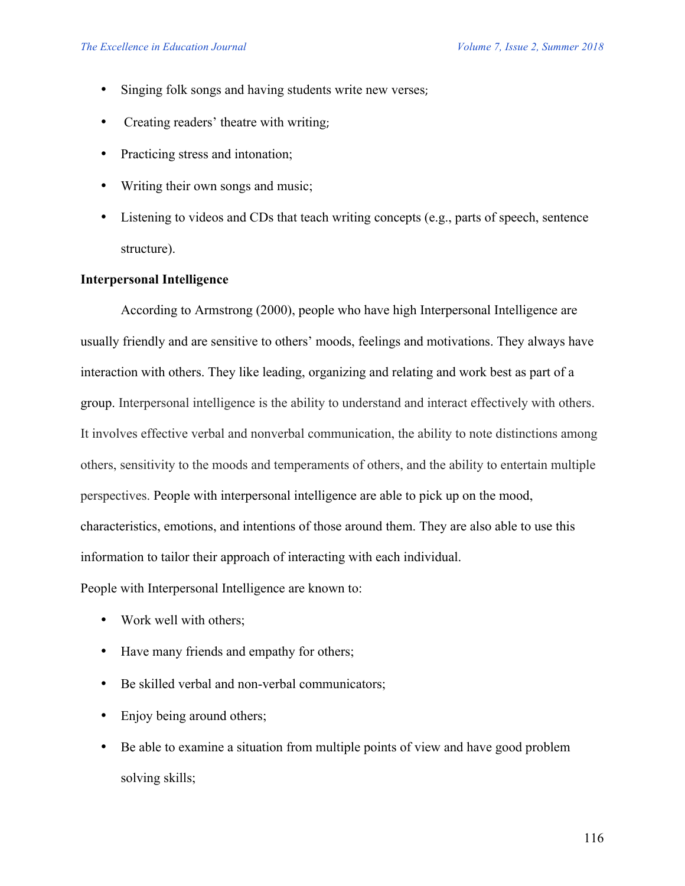- Singing folk songs and having students write new verses;
- Creating readers' theatre with writing;
- Practicing stress and intonation;
- Writing their own songs and music;
- Listening to videos and CDs that teach writing concepts (e.g., parts of speech, sentence structure).

## **Interpersonal Intelligence**

According to Armstrong (2000), people who have high Interpersonal Intelligence are usually friendly and are sensitive to others' moods, feelings and motivations. They always have interaction with others. They like leading, organizing and relating and work best as part of a group. Interpersonal intelligence is the ability to understand and interact effectively with others. It involves effective verbal and nonverbal communication, the ability to note distinctions among others, sensitivity to the moods and temperaments of others, and the ability to entertain multiple perspectives. People with interpersonal intelligence are able to pick up on the mood, characteristics, emotions, and intentions of those around them. They are also able to use this information to tailor their approach of interacting with each individual.

People with Interpersonal Intelligence are known to:

- Work well with others;
- Have many friends and empathy for others;
- Be skilled verbal and non-verbal communicators;
- Enjoy being around others;
- Be able to examine a situation from multiple points of view and have good problem solving skills;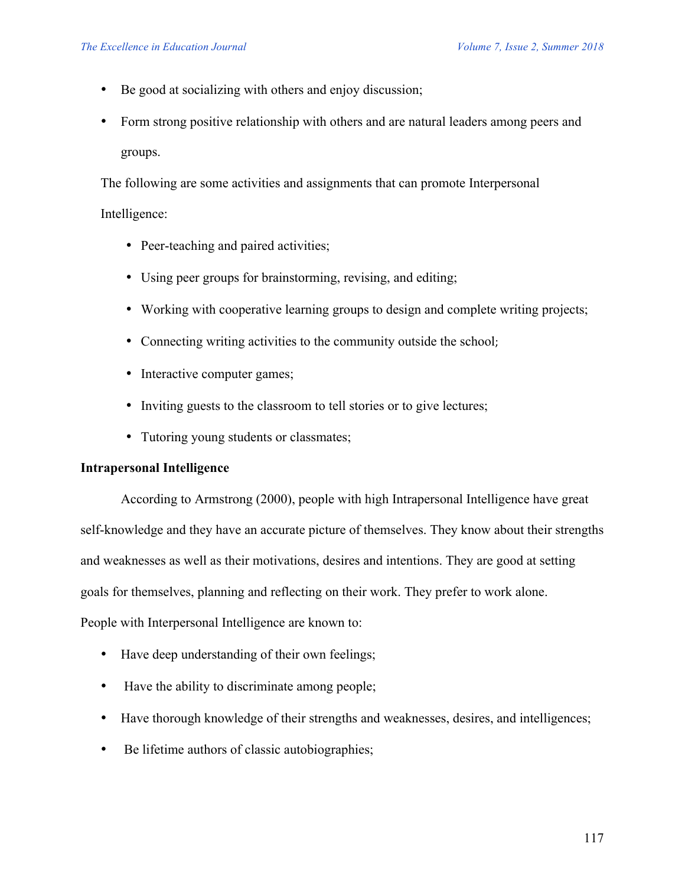- Be good at socializing with others and enjoy discussion;
- Form strong positive relationship with others and are natural leaders among peers and groups.

The following are some activities and assignments that can promote Interpersonal

### Intelligence:

- Peer-teaching and paired activities;
- Using peer groups for brainstorming, revising, and editing;
- Working with cooperative learning groups to design and complete writing projects;
- Connecting writing activities to the community outside the school;
- Interactive computer games;
- Inviting guests to the classroom to tell stories or to give lectures;
- Tutoring young students or classmates;

## **Intrapersonal Intelligence**

According to Armstrong (2000), people with high Intrapersonal Intelligence have great self-knowledge and they have an accurate picture of themselves. They know about their strengths and weaknesses as well as their motivations, desires and intentions. They are good at setting goals for themselves, planning and reflecting on their work. They prefer to work alone. People with Interpersonal Intelligence are known to:

- Have deep understanding of their own feelings;
- Have the ability to discriminate among people;
- Have thorough knowledge of their strengths and weaknesses, desires, and intelligences;
- Be lifetime authors of classic autobiographies;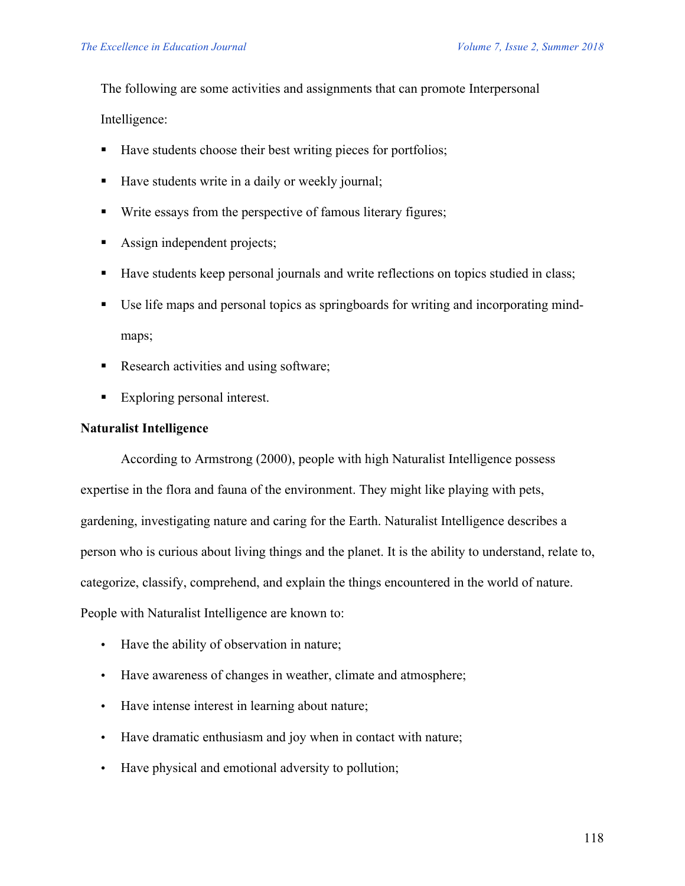The following are some activities and assignments that can promote Interpersonal

Intelligence:

- Have students choose their best writing pieces for portfolios;
- Have students write in a daily or weekly journal;
- Write essays from the perspective of famous literary figures;
- Assign independent projects;
- Have students keep personal journals and write reflections on topics studied in class;
- Use life maps and personal topics as springboards for writing and incorporating mindmaps;
- Research activities and using software;
- Exploring personal interest.

# **Naturalist Intelligence**

According to Armstrong (2000), people with high Naturalist Intelligence possess expertise in the flora and fauna of the environment. They might like playing with pets, gardening, investigating nature and caring for the Earth. Naturalist Intelligence describes a person who is curious about living things and the planet. It is the ability to understand, relate to, categorize, classify, comprehend, and explain the things encountered in the world of nature. People with Naturalist Intelligence are known to:

- Have the ability of observation in nature;
- Have awareness of changes in weather, climate and atmosphere;
- Have intense interest in learning about nature;
- Have dramatic enthusiasm and joy when in contact with nature;
- Have physical and emotional adversity to pollution;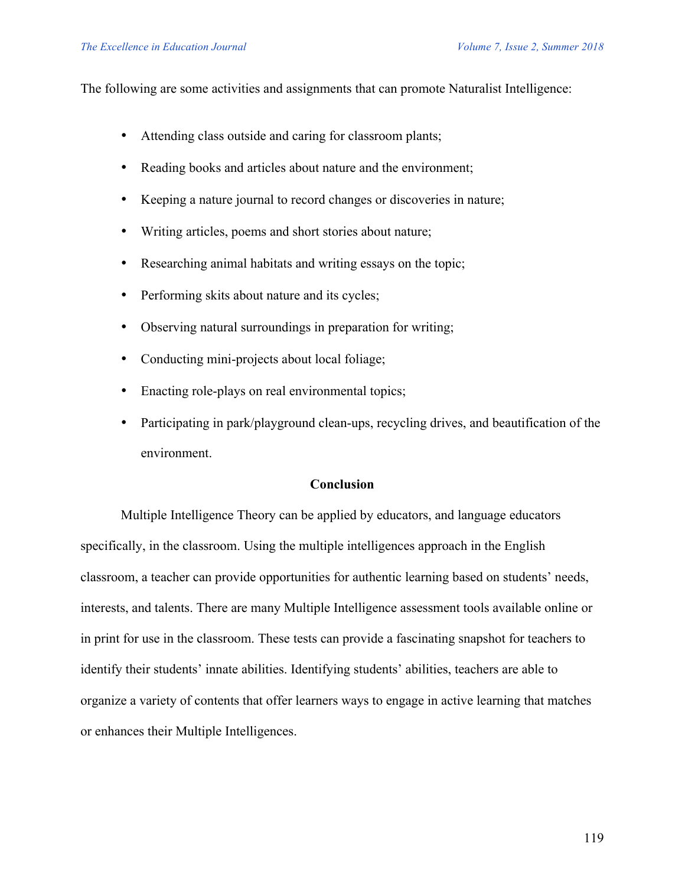The following are some activities and assignments that can promote Naturalist Intelligence:

- Attending class outside and caring for classroom plants;
- Reading books and articles about nature and the environment;
- Keeping a nature journal to record changes or discoveries in nature;
- Writing articles, poems and short stories about nature;
- Researching animal habitats and writing essays on the topic;
- Performing skits about nature and its cycles;
- Observing natural surroundings in preparation for writing;
- Conducting mini-projects about local foliage;
- Enacting role-plays on real environmental topics;
- Participating in park/playground clean-ups, recycling drives, and beautification of the environment.

## **Conclusion**

Multiple Intelligence Theory can be applied by educators, and language educators specifically, in the classroom. Using the multiple intelligences approach in the English classroom, a teacher can provide opportunities for authentic learning based on students' needs, interests, and talents. There are many Multiple Intelligence assessment tools available online or in print for use in the classroom. These tests can provide a fascinating snapshot for teachers to identify their students' innate abilities. Identifying students' abilities, teachers are able to organize a variety of contents that offer learners ways to engage in active learning that matches or enhances their Multiple Intelligences.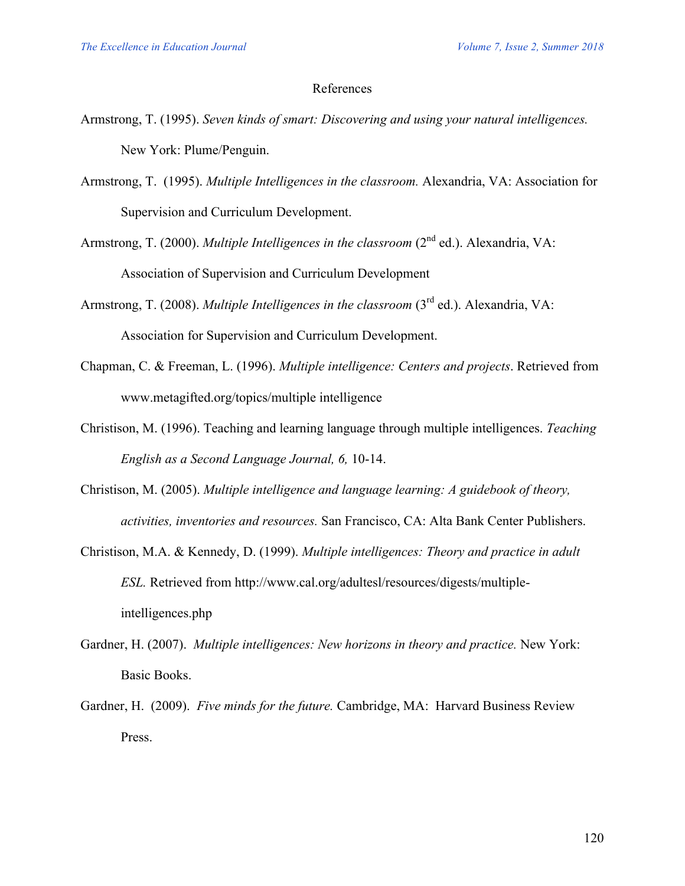#### References

- Armstrong, T. (1995). *Seven kinds of smart: Discovering and using your natural intelligences.* New York: Plume/Penguin.
- Armstrong, T. (1995). *Multiple Intelligences in the classroom.* Alexandria, VA: Association for Supervision and Curriculum Development.
- Armstrong, T. (2000). *Multiple Intelligences in the classroom* (2<sup>nd</sup> ed.). Alexandria, VA: Association of Supervision and Curriculum Development
- Armstrong, T. (2008). *Multiple Intelligences in the classroom* (3<sup>rd</sup> ed.). Alexandria, VA: Association for Supervision and Curriculum Development.
- Chapman, C. & Freeman, L. (1996). *Multiple intelligence: Centers and projects*. Retrieved from www.metagifted.org/topics/multiple intelligence
- Christison, M. (1996). Teaching and learning language through multiple intelligences. *Teaching English as a Second Language Journal, 6,* 10-14.
- Christison, M. (2005). *Multiple intelligence and language learning: A guidebook of theory, activities, inventories and resources.* San Francisco, CA: Alta Bank Center Publishers.
- Christison, M.A. & Kennedy, D. (1999). *Multiple intelligences: Theory and practice in adult ESL.* Retrieved from http://www.cal.org/adultesl/resources/digests/multipleintelligences.php
- Gardner, H. (2007). *Multiple intelligences: New horizons in theory and practice.* New York: Basic Books.
- Gardner, H. (2009). *Five minds for the future.* Cambridge, MA: Harvard Business Review Press.